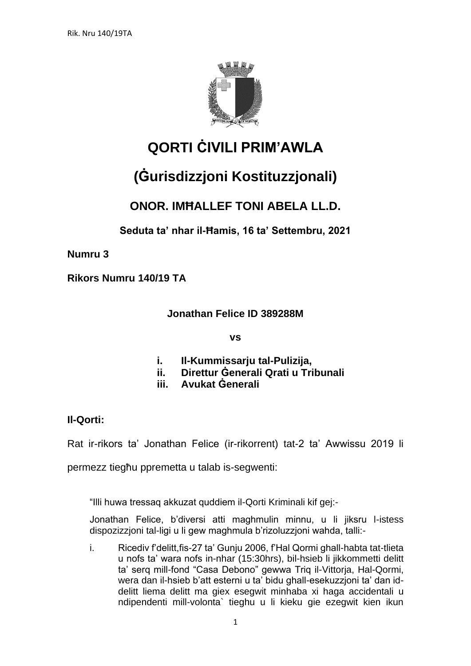

# **QORTI ĊIVILI PRIM'AWLA**

# **(Ġurisdizzjoni Kostituzzjonali)**

## **ONOR. IMĦALLEF TONI ABELA LL.D.**

**Seduta ta' nhar il-Ħamis, 16 ta' Settembru, 2021**

**Numru 3**

**Rikors Numru 140/19 TA**

**Jonathan Felice ID 389288M**

**vs**

- **i. Il-Kummissarju tal-Pulizija,**
- **ii. Direttur Ġenerali Qrati u Tribunali**
- **iii. Avukat Ġenerali**

### **Il-Qorti:**

Rat ir-rikors ta' Jonathan Felice (ir-rikorrent) tat-2 ta' Awwissu 2019 li

permezz tiegħu ppremetta u talab is-segwenti:

"Illi huwa tressaq akkuzat quddiem il-Qorti Kriminali kif gej:-

Jonathan Felice, b'diversi atti maghmulin minnu, u li jiksru l-istess dispozizzjoni tal-ligi u li gew maghmula b'rizoluzzjoni wahda, talli:-

i. Ricediv f'delitt,fis-27 ta' Gunju 2006, f'Hal Qormi ghall-habta tat-tlieta u nofs ta' wara nofs in-nhar (15:30hrs), bil-hsieb li jikkommetti delitt ta' serq mill-fond "Casa Debono" gewwa Triq il-Vittorja, Hal-Qormi, wera dan il-hsieb b'att esterni u ta' bidu ghall-esekuzzjoni ta' dan iddelitt liema delitt ma giex esegwit minhaba xi haga accidentali u ndipendenti mill-volonta` tieghu u li kieku gie ezegwit kien ikun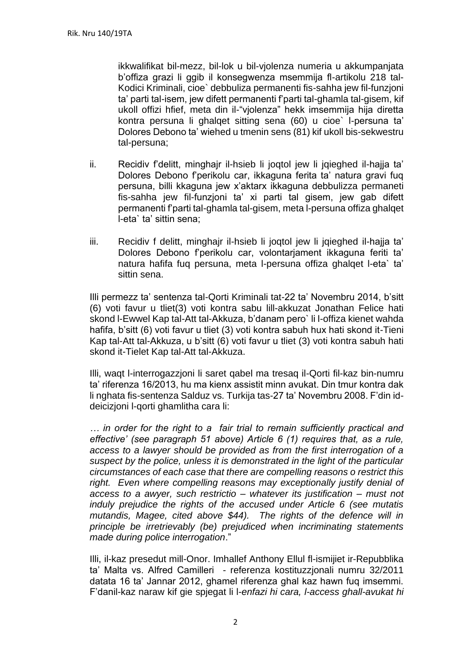ikkwalifikat bil-mezz, bil-lok u bil-vjolenza numeria u akkumpanjata b'offiza grazi li ggib il konsegwenza msemmija fl-artikolu 218 tal-Kodici Kriminali, cioe` debbuliza permanenti fis-sahha jew fil-funzjoni ta' parti tal-isem, jew difett permanenti f'parti tal-ghamla tal-gisem, kif ukoll offizi hfief, meta din il-"vjolenza" hekk imsemmija hija diretta kontra persuna li ghalqet sitting sena (60) u cioe` l-persuna ta' Dolores Debono ta' wiehed u tmenin sens (81) kif ukoll bis-sekwestru tal-persuna;

- ii. Recidiv f'delitt, minghajr il-hsieb li joqtol jew li jqieghed il-hajja ta' Dolores Debono f'perikolu car, ikkaguna ferita ta' natura gravi fuq persuna, billi kkaguna jew x'aktarx ikkaguna debbulizza permaneti fis-sahha jew fil-funzjoni ta' xi parti tal gisem, jew gab difett permanenti f'parti tal-ghamla tal-gisem, meta l-persuna offiza ghalqet l-eta` ta' sittin sena;
- iii. Recidiv f delitt, minghajr il-hsieb li joqtol jew li jqieghed il-hajja ta' Dolores Debono f'perikolu car, volontarjament ikkaguna feriti ta' natura hafifa fuq persuna, meta l-persuna offiza ghalqet l-eta` ta' sittin sena.

Illi permezz ta' sentenza tal-Qorti Kriminali tat-22 ta' Novembru 2014, b'sitt (6) voti favur u tliet(3) voti kontra sabu lill-akkuzat Jonathan Felice hati skond l-Ewwel Kap tal-Att tal-Akkuza, b'danam pero` li l-offiza kienet wahda hafifa, b'sitt (6) voti favur u tliet (3) voti kontra sabuh hux hati skond it-Tieni Kap tal-Att tal-Akkuza, u b'sitt (6) voti favur u tliet (3) voti kontra sabuh hati skond it-Tielet Kap tal-Att tal-Akkuza.

Illi, waqt l-interrogazzjoni li saret qabel ma tresaq il-Qorti fil-kaz bin-numru ta' riferenza 16/2013, hu ma kienx assistit minn avukat. Din tmur kontra dak li nghata fis-sentenza Salduz vs. Turkija tas-27 ta' Novembru 2008. F'din iddeicizjoni l-qorti ghamlitha cara li:

*… in order for the right to a fair trial to remain sufficiently practical and effective' (see paragraph 51 above) Article 6 (1) requires that, as a rule, access to a lawyer should be provided as from the first interrogation of a suspect by the police, unless it is demonstrated in the light of the particular circumstances of each case that there are compelling reasons o restrict this right. Even where compelling reasons may exceptionally justify denial of access to a awyer, such restrictio – whatever its justification – must not induly prejudice the rights of the accused under Article 6 (see mutatis mutandis, Magee, cited above \$44). The rights of the defence will in principle be irretrievably (be) prejudiced when incriminating statements made during police interrogation*."

Illi, il-kaz presedut mill-Onor. Imhallef Anthony Ellul fl-ismijiet ir-Repubblika ta' Malta vs. Alfred Camilleri - referenza kostituzzjonali numru 32/2011 datata 16 ta' Jannar 2012, ghamel riferenza ghal kaz hawn fuq imsemmi. F'danil-kaz naraw kif gie spjegat li l-*enfazi hi cara, l-access ghall-avukat hi*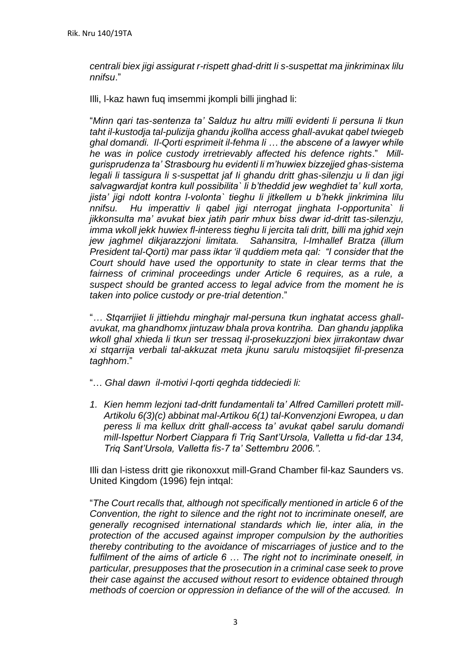*centrali biex jigi assigurat r-rispett ghad-dritt Ii s-suspettat ma jinkriminax lilu nnifsu*."

Illi, l-kaz hawn fuq imsemmi jkompli billi jinghad li:

"*Minn qari tas-sentenza ta' Salduz hu altru milli evidenti li persuna li tkun taht il-kustodja tal-pulizija ghandu jkollha access ghall-avukat qabel twiegeb ghal domandi. Il-Qorti esprimeit il-fehma li … the abscene of a lawyer while he was in police custody irretrievably affected his defence rights*." *Millgurisprudenza ta' Strasbourg hu evidenti li m'huwiex bizzejjed ghas-sistema legali li tassigura li s-suspettat jaf Ii ghandu dritt ghas-silenzju u li dan jigi salvagwardjat kontra kull possibilita` li b'theddid jew weghdiet ta' kull xorta, jista' jigi ndott kontra l-volonta` tieghu li jitkellem u b'hekk jinkrimina lilu nnifsu. Hu imperattiv li qabel jigi nterrogat jinghata l-opportunita` li jikkonsulta ma' avukat biex jatih parir mhux biss dwar id-dritt tas-silenzju, imma wkoll jekk huwiex fl-interess tieghu li jercita tali dritt, billi ma jghid xejn jew jaghmel dikjarazzjoni limitata. Sahansitra, l-Imhallef Bratza (illum President tal-Qorti) mar pass iktar 'il quddiem meta qal: "I consider that the Court should have used the opportunity to state in clear terms that the*  fairness of criminal proceedings under Article 6 requires, as a rule, a *suspect should be granted access to legal advice from the moment he is taken into police custody or pre-trial detention*."

"*… Stqarrijiet li jittiehdu minghajr mal-persuna tkun inghatat access ghallavukat, ma ghandhomx jintuzaw bhala prova kontriha. Dan ghandu japplika wkoll ghal xhieda li tkun ser tressaq il-prosekuzzjoni biex jirrakontaw dwar xi stqarrija verbali tal-akkuzat meta jkunu sarulu mistoqsijiet fil-presenza taghhom*."

- "… *Ghal dawn il-motivi l-qorti qeghda tiddeciedi li:*
- *1. Kien hemm lezjoni tad-dritt fundamentali ta' Alfred Camilleri protett mill-Artikolu 6(3)(c) abbinat mal-Artikou 6(1) tal-Konvenzjoni Ewropea, u dan peress li ma kellux dritt ghall-access ta' avukat qabel sarulu domandi mill-Ispettur Norbert Ciappara fi Triq Sant'Ursola, Valletta u fid-dar 134, Triq Sant'Ursola, Valletta fis-7 ta' Settembru 2006.".*

Illi dan l-istess dritt gie rikonoxxut mill-Grand Chamber fil-kaz Saunders vs. United Kingdom (1996) fejn intqal:

"*The Court recalls that, although not specifically mentioned in article 6 of the Convention, the right to silence and the right not to incriminate oneself, are generally recognised international standards which lie, inter alia, in the protection of the accused against improper compulsion by the authorities thereby contributing to the avoidance of miscarriages of justice and to the fulfilment of the aims of article 6 … The right not to incriminate oneself, in particular, presupposes that the prosecution in a criminal case seek to prove their case against the accused without resort to evidence obtained through methods of coercion or oppression in defiance of the will of the accused. In*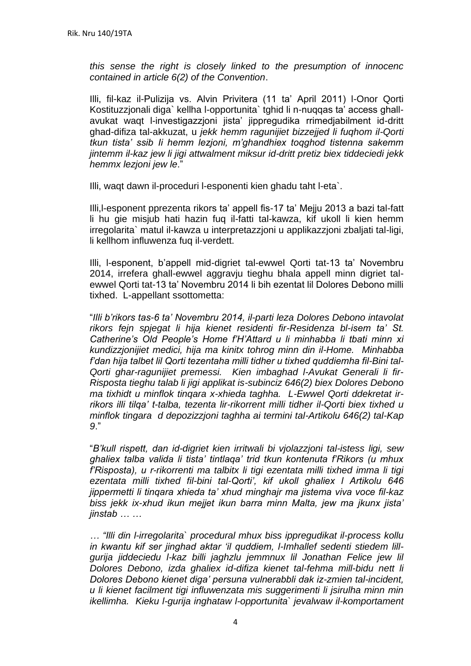*this sense the right is closely linked to the presumption of innocenc contained in article 6(2) of the Convention*.

Illi, fil-kaz il-Pulizija vs. Alvin Privitera (11 ta' April 2011) l-Onor Qorti Kostituzzjonali diga` kellha l-opportunita` tghid li n-nuqqas ta' access ghallavukat waqt l-investigazzjoni jista' jippregudika rrimedjabilment id-dritt ghad-difiza tal-akkuzat, u *jekk hemm ragunijiet bizzejjed li fuqhom il-Qorti tkun tista' ssib Ii hemm lezjoni, m'ghandhiex toqghod tistenna sakemm jintemm il-kaz jew li jigi attwalment miksur id-dritt pretiz biex tiddeciedi jekk hemmx lezjoni jew le*."

Illi, waqt dawn il-proceduri l-esponenti kien ghadu taht l-eta`.

Illi,l-esponent pprezenta rikors ta' appell fis-17 ta' Mejju 2013 a bazi tal-fatt li hu gie misjub hati hazin fuq il-fatti tal-kawza, kif ukoll li kien hemm irregolarita` matul il-kawza u interpretazzjoni u applikazzjoni zbaljati tal-ligi, li kellhom influwenza fuq il-verdett.

Illi, l-esponent, b'appell mid-digriet tal-ewwel Qorti tat-13 ta' Novembru 2014, irrefera ghall-ewwel aggravju tieghu bhala appell minn digriet talewwel Qorti tat-13 ta' Novembru 2014 li bih ezentat lil Dolores Debono milli tixhed. L-appellant ssottometta:

"*Illi b'rikors tas-6 ta' Novembru 2014, il-parti leza Dolores Debono intavolat rikors fejn spjegat li hija kienet residenti fir-Residenza bl-isem ta' St. Catherine's Old People's Home f'H'Attard u li minhabba li tbati minn xi kundizzjonijiet medici, hija ma kinitx tohrog minn din il-Home. Minhabba f'dan hija talbet lil Qorti tezentaha milli tidher u tixhed quddiemha fil-Bini tal-Qorti ghar-ragunijiet premessi. Kien imbaghad l-Avukat Generali li fir-Risposta tieghu talab li jigi applikat is-subinciz 646(2) biex Dolores Debono ma tixhidt u minflok tinqara x-xhieda taghha. L-Ewwel Qorti ddekretat irrikors illi tilqa' t-talba, tezenta lir-rikorrent milli tidher il-Qorti biex tixhed u minflok tingara d depozizzjoni taghha ai termini tal-Artikolu 646(2) tal-Kap 9*."

"*B'kull rispett, dan id-digriet kien irritwali bi vjolazzjoni tal-istess ligi, sew ghaliex talba valida li tista' tintlaqa' trid tkun kontenuta f'Rikors (u mhux f'Risposta), u r-rikorrenti ma talbitx li tigi ezentata milli tixhed imma li tigi ezentata milli tixhed fil-bini tal-Qorti', kif ukoll ghaliex l Artikolu 646 jippermetti li tinqara xhieda ta' xhud minghajr ma jistema viva voce fil-kaz biss jekk ix-xhud ikun mejjet ikun barra minn Malta, jew ma jkunx jista' jinstab … …*

*… "Illi din l-irregolarita` procedural mhux biss ippregudikat il-process kollu in kwantu kif ser jinghad aktar 'il quddiem, l-Imhallef sedenti stiedem lillgurija jiddeciedu l-kaz billi jaghzlu jemmnux lil Jonathan Felice jew lil Dolores Debono, izda ghaliex id-difiza kienet tal-fehma mill-bidu nett li Dolores Debono kienet diga' persuna vulnerabbli dak iz-zmien tal-incident, u li kienet facilment tigi influwenzata mis suggerimenti li jsirulha minn min ikellimha. Kieku l-gurija inghataw l-opportunita` jevalwaw il-komportament*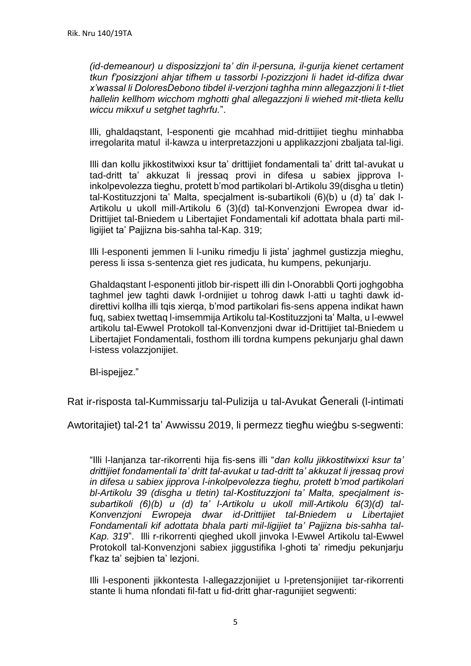*(id-demeanour) u disposizzjoni ta' din il-persuna, il-gurija kienet certament tkun f'posizzjoni ahjar tifhem u tassorbi l-pozizzjoni li hadet id-difiza dwar x'wassal li DoloresDebono tibdel il-verzjoni taghha minn allegazzjoni li t-tliet hallelin kellhom wicchom mghotti ghal allegazzjoni li wiehed mit-tlieta kellu wiccu mikxuf u setghet taghrfu.*".

Illi, ghaldaqstant, l-esponenti gie mcahhad mid-drittijiet tieghu minhabba irregolarita matul il-kawza u interpretazzjoni u applikazzjoni zbaljata tal-ligi.

Illi dan kollu jikkostitwixxi ksur ta' drittijiet fondamentali ta' dritt tal-avukat u tad-dritt ta' akkuzat li jressaq provi in difesa u sabiex jipprova linkolpevolezza tieghu, protett b'mod partikolari bl-Artikolu 39(disgha u tletin) tal-Kostituzzjoni ta' Malta, specjalment is-subartikoli (6)(b) u (d) ta' dak l-Artikolu u ukoll mill-Artikolu 6 (3)(d) tal-Konvenzjoni Ewropea dwar id-Drittijiet tal-Bniedem u Libertajiet Fondamentali kif adottata bhala parti milligijiet ta' Pajjizna bis-sahha tal-Kap. 319;

Illi l-esponenti jemmen li l-uniku rimedju li jista' jaghmel gustizzja mieghu, peress li issa s-sentenza giet res judicata, hu kumpens, pekunjarju.

Ghaldaqstant l-esponenti jitlob bir-rispett illi din l-Onorabbli Qorti joghgobha taghmel jew taghti dawk l-ordnijiet u tohrog dawk l-atti u taghti dawk iddirettivi kollha illi tqis xierqa, b'mod partikolari fis-sens appena indikat hawn fuq, sabiex twettaq l-imsemmija Artikolu tal-Kostituzzjoni ta' Malta, u l-ewwel artikolu tal-Ewwel Protokoll tal-Konvenzjoni dwar id-Drittijiet tal-Bniedem u Libertajiet Fondamentali, fosthom illi tordna kumpens pekunjarju ghal dawn l-istess volazzjonijiet.

Bl-ispejjez."

Rat ir-risposta tal-Kummissarju tal-Pulizija u tal-Avukat Ġenerali (l-intimati

Awtoritajiet) tal-21 ta' Awwissu 2019, li permezz tiegħu wieġbu s-segwenti:

"Illi l-lanjanza tar-rikorrenti hija fis-sens illi "*dan kollu jikkostitwixxi ksur ta' drittijiet fondamentali ta' dritt tal-avukat u tad-dritt ta' akkuzat li jressaq provi in difesa u sabiex jipprova l-inkolpevolezza tieghu, protett b'mod partikolari bl-Artikolu 39 (disgha u tletin) tal-Kostituzzjoni ta' Malta, specjalment issubartikoli (6)(b) u (d) ta' l-Artikolu u ukoll mill-Artikolu 6(3)(d) tal-Konvenzjoni Ewropeja dwar id-Drittijiet tal-Bniedem u Libertajiet Fondamentali kif adottata bhala parti mil-ligijiet ta' Pajjizna bis-sahha tal-Kap. 319*". Illi r-rikorrenti qieghed ukoll jinvoka l-Ewwel Artikolu tal-Ewwel Protokoll tal-Konvenzjoni sabiex jiggustifika l-ghoti ta' rimedju pekunjarju f'kaz ta' sejbien ta' lezjoni.

Illi l-esponenti jikkontesta l-allegazzjonijiet u l-pretensjonijiet tar-rikorrenti stante li huma nfondati fil-fatt u fid-dritt ghar-ragunijiet segwenti: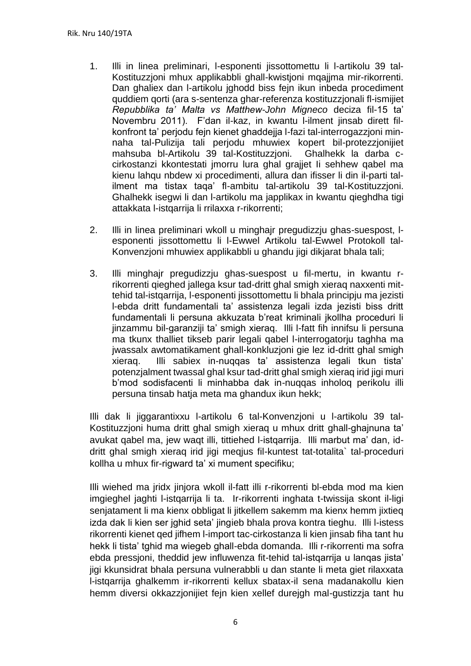- 1. Illi in linea preliminari, l-esponenti jissottomettu li l-artikolu 39 tal-Kostituzzjoni mhux applikabbli ghall-kwistjoni mqajjma mir-rikorrenti. Dan ghaliex dan l-artikolu jghodd biss fejn ikun inbeda procediment quddiem qorti (ara s-sentenza ghar-referenza kostituzzjonali fl-ismijiet *Repubblika ta' Malta vs Matthew-John Migneco* deciza fil-15 ta' Novembru 2011). F'dan il-kaz, in kwantu l-ilment jinsab dirett filkonfront ta' perjodu fejn kienet ghaddejja l-fazi tal-interrogazzjoni minnaha tal-Pulizija tali perjodu mhuwiex kopert bil-protezzjonijiet mahsuba bl-Artikolu 39 tal-Kostituzzjoni. Ghalhekk la darba ccirkostanzi kkontestati jmorru lura ghal grajjet Ii sehhew qabel ma kienu lahqu nbdew xi procedimenti, allura dan ifisser li din il-parti talilment ma tistax taqa' fl-ambitu tal-artikolu 39 tal-Kostituzzjoni. Ghalhekk isegwi li dan l-artikolu ma japplikax in kwantu qieghdha tigi attakkata l-istqarrija li rrilaxxa r-rikorrenti;
- 2. Illi in linea preliminari wkoll u minghajr pregudizzju ghas-suespost, lesponenti jissottomettu li l-Ewwel Artikolu tal-Ewwel Protokoll tal-Konvenzjoni mhuwiex applikabbli u ghandu jigi dikjarat bhala tali;
- 3. Illi minghajr pregudizzju ghas-suespost u fil-mertu, in kwantu rrikorrenti qieghed jallega ksur tad-dritt ghal smigh xieraq naxxenti mittehid tal-istqarrija, l-esponenti jissottomettu li bhala principju ma jezisti l-ebda dritt fundamentali ta' assistenza legali izda jezisti biss dritt fundamentali li persuna akkuzata b'reat kriminali jkollha proceduri li jinzammu bil-garanziji ta' smigh xieraq. Illi l-fatt fih innifsu li persuna ma tkunx thalliet tikseb parir legali qabel l-interrogatorju taghha ma jwassalx awtomatikament ghall-konkluzjoni gie lez id-dritt ghal smigh xieraq. Illi sabiex in-nuqqas ta' assistenza legali tkun tista' potenzjalment twassal ghal ksur tad-dritt ghal smigh xieraq irid jigi muri b'mod sodisfacenti li minhabba dak in-nuqqas inholoq perikolu illi persuna tinsab hatja meta ma ghandux ikun hekk;

Illi dak li jiggarantixxu l-artikolu 6 tal-Konvenzjoni u l-artikolu 39 tal-Kostituzzjoni huma dritt ghal smigh xieraq u mhux dritt ghall-ghajnuna ta' avukat qabel ma, jew waqt illi, tittiehed l-istqarrija. Illi marbut ma' dan, iddritt ghal smigh xieraq irid jigi meqjus fil-kuntest tat-totalita` tal-proceduri kollha u mhux fir-rigward ta' xi mument specifiku;

Illi wiehed ma jridx jinjora wkoll il-fatt illi r-rikorrenti bl-ebda mod ma kien imgieghel jaghti l-istqarrija li ta. Ir-rikorrenti inghata t-twissija skont il-ligi senjatament li ma kienx obbligat li jitkellem sakemm ma kienx hemm jixtieq izda dak li kien ser jghid seta' jingieb bhala prova kontra tieghu. Illi l-istess rikorrenti kienet qed jifhem l-import tac-cirkostanza li kien jinsab fiha tant hu hekk li tista' tghid ma wiegeb ghall-ebda domanda. Illi r-rikorrenti ma sofra ebda pressjoni, theddid jew influwenza fit-tehid tal-istqarrija u lanqas jista' jigi kkunsidrat bhala persuna vulnerabbli u dan stante li meta giet rilaxxata l-istqarrija ghalkemm ir-rikorrenti kellux sbatax-il sena madanakollu kien hemm diversi okkazzjonijiet fejn kien xellef durejgh mal-gustizzja tant hu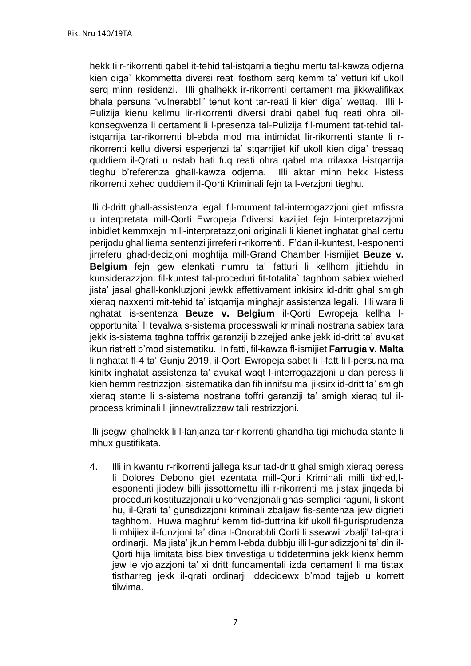hekk Ii r-rikorrenti qabel it-tehid tal-istqarrija tieghu mertu tal-kawza odjerna kien diga` kkommetta diversi reati fosthom serq kemm ta' vetturi kif ukoll serq minn residenzi. Illi ghalhekk ir-rikorrenti certament ma jikkwalifikax bhala persuna 'vulnerabbli' tenut kont tar-reati li kien diga` wettaq. Illi l-Pulizija kienu kellmu lir-rikorrenti diversi drabi qabel fuq reati ohra bilkonsegwenza li certament li l-presenza tal-Pulizija fil-mument tat-tehid talistqarrija tar-rikorrenti bl-ebda mod ma intimidat lir-rikorrenti stante li rrikorrenti kellu diversi esperjenzi ta' stqarrijiet kif ukoll kien diga' tressaq quddiem il-Qrati u nstab hati fuq reati ohra qabel ma rrilaxxa l-istqarrija tieghu b'referenza ghall-kawza odjerna. Illi aktar minn hekk l-istess rikorrenti xehed quddiem il-Qorti Kriminali fejn ta l-verzjoni tieghu.

Illi d-dritt ghall-assistenza legali fil-mument tal-interrogazzjoni giet imfissra u interpretata mill-Qorti Ewropeja f'diversi kazijiet fejn l-interpretazzjoni inbidlet kemmxejn mill-interpretazzjoni originali li kienet inghatat ghal certu perijodu ghal liema sentenzi jirreferi r-rikorrenti. F'dan il-kuntest, l-esponenti jirreferu ghad-decizjoni moghtija mill-Grand Chamber l-ismijiet **Beuze v. Belgium** fejn gew elenkati numru ta' fatturi li kellhom jittiehdu in kunsiderazzjoni fil-kuntest tal-proceduri fit-totalita` taghhom sabiex wiehed jista' jasal ghall-konkluzjoni jewkk effettivament inkisirx id-dritt ghal smigh xieraq naxxenti mit-tehid ta' istqarrija minghajr assistenza legali. Illi wara li nghatat is-sentenza **Beuze v. Belgium** il-Qorti Ewropeja kellha lopportunita` li tevalwa s-sistema processwali kriminali nostrana sabiex tara jekk is-sistema taghna toffrix garanziji bizzejjed anke jekk id-dritt ta' avukat ikun ristrett b'mod sistematiku. In fatti, fil-kawza fl-ismijiet **Farrugia v. Malta** li nghatat fl-4 ta' Gunju 2019, il-Qorti Ewropeja sabet li l-fatt li l-persuna ma kinitx inghatat assistenza ta' avukat waqt l-interrogazzjoni u dan peress li kien hemm restrizzjoni sistematika dan fih innifsu ma jiksirx id-dritt ta' smigh xieraq stante li s-sistema nostrana toffri garanziji ta' smigh xieraq tul ilprocess kriminali li jinnewtralizzaw tali restrizzjoni.

Illi jsegwi ghalhekk li l-lanjanza tar-rikorrenti ghandha tigi michuda stante li mhux gustifikata.

4. Illi in kwantu r-rikorrenti jallega ksur tad-dritt ghal smigh xieraq peress li Dolores Debono giet ezentata mill-Qorti Kriminali milli tixhed,lesponenti jibdew billi jissottomettu illi r-rikorrenti ma jistax jinqeda bi proceduri kostituzzjonali u konvenzjonali ghas-semplici raguni, li skont hu, il-Qrati ta' gurisdizzjoni kriminali zbaljaw fis-sentenza jew digrieti taghhom. Huwa maghruf kemm fid-duttrina kif ukoll fil-gurisprudenza li mhijiex il-funzjoni ta' dina l-Onorabbli Qorti li ssewwi 'zbalji' tal-qrati ordinarji. Ma jista' jkun hemm l-ebda dubbju illi l-gurisdizzjoni ta' din il-Qorti hija limitata biss biex tinvestiga u tiddetermina jekk kienx hemm jew le vjolazzjoni ta' xi dritt fundamentali izda certament Ii ma tistax tistharreg jekk il-qrati ordinarji iddecidewx b'mod tajjeb u korrett tilwima.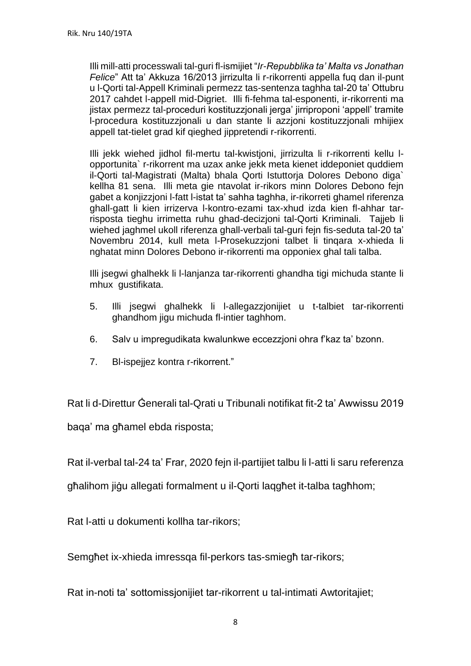Illi mill-atti processwali tal-guri fl-ismijiet "*Ir-Repubblika ta' Malta vs Jonathan Felice*" Att ta' Akkuza 16/2013 jirrizulta li r-rikorrenti appella fuq dan il-punt u l-Qorti tal-Appell Kriminali permezz tas-sentenza taghha tal-20 ta' Ottubru 2017 cahdet l-appell mid-Digriet. Illi fi-fehma tal-esponenti, ir-rikorrenti ma jistax permezz tal-proceduri kostituzzjonali jerga' jirriproponi 'appell' tramite l-procedura kostituzzjonali u dan stante li azzjoni kostituzzjonali mhijiex appell tat-tielet grad kif qieghed jippretendi r-rikorrenti.

Illi jekk wiehed jidhol fil-mertu tal-kwistjoni, jirrizulta li r-rikorrenti kellu lopportunita` r-rikorrent ma uzax anke jekk meta kienet iddeponiet quddiem il-Qorti tal-Magistrati (Malta) bhala Qorti Istuttorja Dolores Debono diga` kellha 81 sena. Illi meta gie ntavolat ir-rikors minn Dolores Debono fejn gabet a konjizzjoni l-fatt l-istat ta' sahha taghha, ir-rikorreti ghamel riferenza ghall-gatt li kien irrizerva l-kontro-ezami tax-xhud izda kien fl-ahhar tarrisposta tieghu irrimetta ruhu ghad-decizjoni tal-Qorti Kriminali. Tajjeb li wiehed jaghmel ukoll riferenza ghall-verbali tal-guri fejn fis-seduta tal-20 ta' Novembru 2014, kull meta l-Prosekuzzjoni talbet li tinqara x-xhieda li nghatat minn Dolores Debono ir-rikorrenti ma opponiex ghal tali talba.

Illi jsegwi ghalhekk li l-lanjanza tar-rikorrenti ghandha tigi michuda stante li mhux gustifikata.

- 5. Illi jsegwi ghalhekk li l-allegazzjonijiet u t-talbiet tar-rikorrenti ghandhom jigu michuda fl-intier taghhom.
- 6. Salv u impregudikata kwalunkwe eccezzjoni ohra f'kaz ta' bzonn.
- 7. Bl-ispejjez kontra r-rikorrent."

Rat li d-Direttur Ġenerali tal-Qrati u Tribunali notifikat fit-2 ta' Awwissu 2019

baqa' ma għamel ebda risposta;

Rat il-verbal tal-24 ta' Frar, 2020 fejn il-partijiet talbu li l-atti li saru referenza

għalihom jiġu allegati formalment u il-Qorti laqgħet it-talba tagħhom;

Rat l-atti u dokumenti kollha tar-rikors;

Semgħet ix-xhieda imressqa fil-perkors tas-smiegħ tar-rikors;

Rat in-noti ta' sottomissjonijiet tar-rikorrent u tal-intimati Awtoritajiet;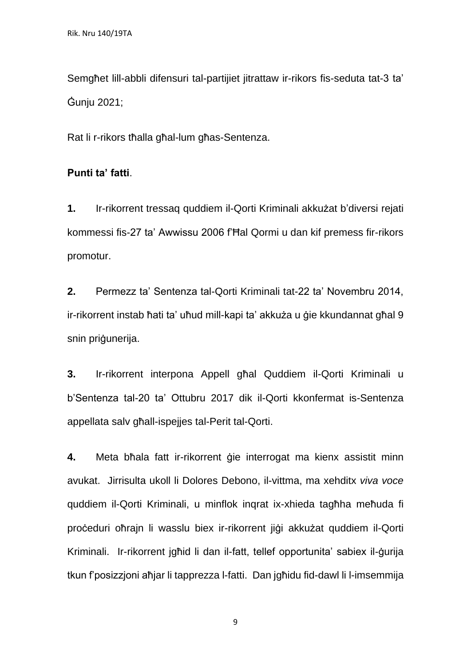Semgħet lill-abbli difensuri tal-partijiet jitrattaw ir-rikors fis-seduta tat-3 ta' Ġunju 2021;

Rat li r-rikors tħalla għal-lum għas-Sentenza.

#### **Punti ta' fatti**.

**1.** Ir-rikorrent tressaq quddiem il-Qorti Kriminali akkużat b'diversi rejati kommessi fis-27 ta' Awwissu 2006 f'Ħal Qormi u dan kif premess fir-rikors promotur.

**2.** Permezz ta' Sentenza tal-Qorti Kriminali tat-22 ta' Novembru 2014, ir-rikorrent instab ħati ta' uħud mill-kapi ta' akkuża u ġie kkundannat għal 9 snin priġunerija.

**3.** Ir-rikorrent interpona Appell għal Quddiem il-Qorti Kriminali u b'Sentenza tal-20 ta' Ottubru 2017 dik il-Qorti kkonfermat is-Sentenza appellata salv għall-ispejjes tal-Perit tal-Qorti.

**4.** Meta bħala fatt ir-rikorrent ġie interrogat ma kienx assistit minn avukat. Jirrisulta ukoll li Dolores Debono, il-vittma, ma xehditx *viva voce* quddiem il-Qorti Kriminali, u minflok inqrat ix-xhieda tagħha meħuda fi proċeduri oħrajn li wasslu biex ir-rikorrent jiġi akkużat quddiem il-Qorti Kriminali. Ir-rikorrent jgħid li dan il-fatt, tellef opportunita' sabiex il-ġurija tkun f'posizzjoni aħjar li tapprezza l-fatti. Dan jgħidu fid-dawl li l-imsemmija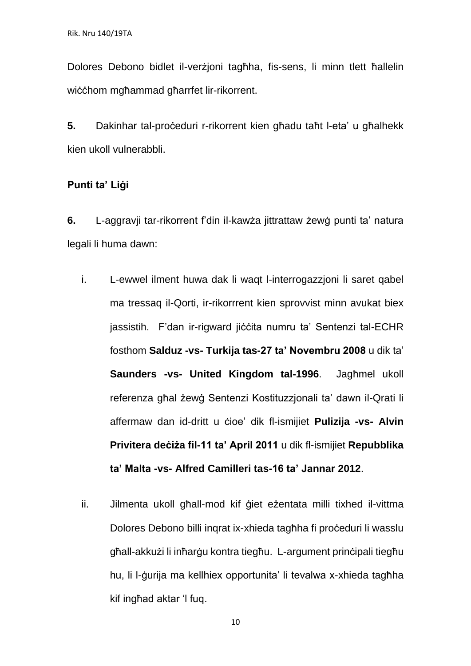Dolores Debono bidlet il-verżjoni tagħha, fis-sens, li minn tlett ħallelin wiċċhom mgħammad għarrfet lir-rikorrent.

**5.** Dakinhar tal-proċeduri r-rikorrent kien għadu taħt l-eta' u għalhekk kien ukoll vulnerabbli.

#### **Punti ta' Liġi**

**6.** L-aggravji tar-rikorrent f'din il-kawża jittrattaw żewġ punti ta' natura legali li huma dawn:

- i. L-ewwel ilment huwa dak li waqt l-interrogazzjoni li saret qabel ma tressaq il-Qorti, ir-rikorrrent kien sprovvist minn avukat biex jassistih. F'dan ir-rigward jiċċita numru ta' Sentenzi tal-ECHR fosthom **Salduz -vs- Turkija tas-27 ta' Novembru 2008** u dik ta' **Saunders -vs- United Kingdom tal-1996**. Jagħmel ukoll referenza għal żewġ Sentenzi Kostituzzjonali ta' dawn il-Qrati li affermaw dan id-dritt u ċioe' dik fl-ismijiet **Pulizija -vs- Alvin Privitera deċiża fil-11 ta' April 2011** u dik fl-ismijiet **Repubblika ta' Malta -vs- Alfred Camilleri tas-16 ta' Jannar 2012**.
- ii. Jilmenta ukoll għall-mod kif ġiet eżentata milli tixhed il-vittma Dolores Debono billi inqrat ix-xhieda tagħha fi proċeduri li wasslu għall-akkużi li inħarġu kontra tiegħu. L-argument prinċipali tiegħu hu, li l-ġurija ma kellhiex opportunita' li tevalwa x-xhieda tagħha kif ingħad aktar 'l fuq.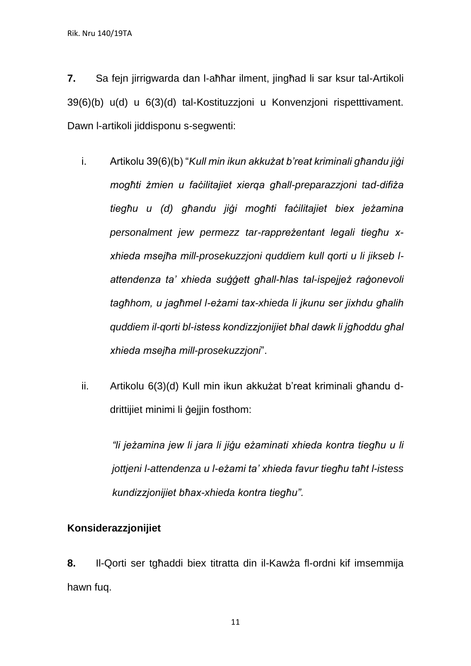**7.** Sa fejn jirrigwarda dan l-aħħar ilment, jingħad li sar ksur tal-Artikoli 39(6)(b) u(d) u 6(3)(d) tal-Kostituzzjoni u Konvenzjoni rispetttivament. Dawn l-artikoli jiddisponu s-segwenti:

- i. Artikolu 39(6)(b) "*Kull min ikun akkużat b'reat kriminali għandu jiġi mogħti żmien u faċilitajiet xierqa għall-preparazzjoni tad-difiża tiegħu u (d) għandu jiġi mogħti faċilitajiet biex jeżamina personalment jew permezz tar-rappreżentant legali tiegħu xxhieda msejħa mill-prosekuzzjoni quddiem kull qorti u li jikseb lattendenza ta' xhieda suġġett għall-ħlas tal-ispejjeż raġonevoli tagħhom, u jagħmel l-eżami tax-xhieda li jkunu ser jixhdu għalih quddiem il-qorti bl-istess kondizzjonijiet bħal dawk li jgħoddu għal xhieda msejħa mill-prosekuzzjoni*".
- ii. Artikolu 6(3)(d) Kull min ikun akkużat b'reat kriminali għandu ddrittijiet minimi li ġejjin fosthom:

*"li jeżamina jew li jara li jiġu eżaminati xhieda kontra tiegħu u li jottjeni l-attendenza u l-eżami ta' xhieda favur tiegħu taħt l-istess kundizzjonijiet bħax-xhieda kontra tiegħu".*

### **Konsiderazzjonijiet**

**8.** Il-Qorti ser tgħaddi biex titratta din il-Kawża fl-ordni kif imsemmija hawn fuq.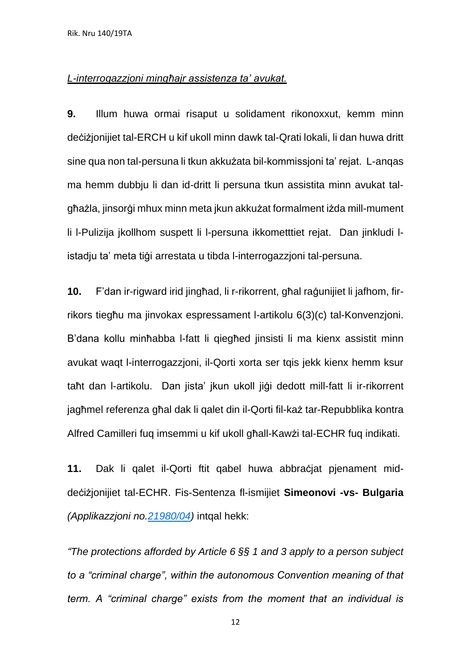#### *L-interrogazzjoni mingħajr assistenza ta' avukat.*

**9.** Illum huwa ormai risaput u solidament rikonoxxut, kemm minn deċiżjonijiet tal-ERCH u kif ukoll minn dawk tal-Qrati lokali, li dan huwa dritt sine qua non tal-persuna li tkun akkużata bil-kommissjoni ta' rejat. L-anqas ma hemm dubbju li dan id-dritt li persuna tkun assistita minn avukat talgħażla, jinsorġi mhux minn meta jkun akkużat formalment iżda mill-mument li l-Pulizija jkollhom suspett li l-persuna ikkometttiet rejat. Dan jinkludi listadju ta' meta tiġi arrestata u tibda l-interrogazzjoni tal-persuna.

**10.** F'dan ir-rigward irid jingħad, li r-rikorrent, għal raġunijiet li jafhom, firrikors tiegħu ma jinvokax espressament l-artikolu 6(3)(c) tal-Konvenzjoni. B'dana kollu minħabba l-fatt li qiegħed jinsisti li ma kienx assistit minn avukat waqt l-interrogazzjoni, il-Qorti xorta ser tqis jekk kienx hemm ksur taħt dan l-artikolu. Dan jista' jkun ukoll jiġi dedott mill-fatt li ir-rikorrent jagħmel referenza għal dak li qalet din il-Qorti fil-każ tar-Repubblika kontra Alfred Camilleri fuq imsemmi u kif ukoll għall-Kawżi tal-ECHR fuq indikati.

**11.** Dak li qalet il-Qorti ftit qabel huwa abbraċjat pjenament middeċiżjonijiet tal-ECHR. Fis-Sentenza fl-ismijiet **Simeonovi -vs- Bulgaria** *(Applikazzjoni no[.21980/04\)](https://hudoc.echr.coe.int/eng#{%22appno%22:[%2221980/04%22]})* intqal hekk:

*"The protections afforded by Article 6 §§ 1 and 3 apply to a person subject to a "criminal charge", within the autonomous Convention meaning of that term. A "criminal charge" exists from the moment that an individual is*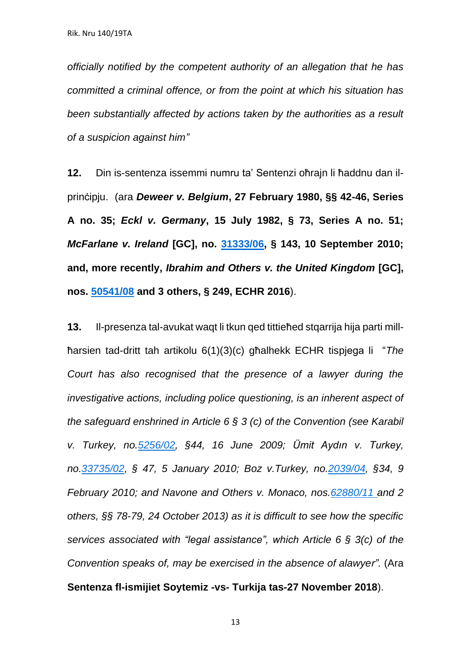*officially notified by the competent authority of an allegation that he has committed a criminal offence, or from the point at which his situation has been substantially affected by actions taken by the authorities as a result of a suspicion against him"*

**12.** Din is-sentenza issemmi numru ta' Sentenzi oħrajn li ħaddnu dan ilprinċipju. (ara *Deweer v. Belgium***, 27 February 1980, §§ 42-46, Series A no. 35;** *Eckl v. Germany***, 15 July 1982, § 73, Series A no. 51;** *McFarlane v. Ireland* **[GC], no. [31333/06,](https://hudoc.echr.coe.int/eng#{%22appno%22:[%2231333/06%22]}) § 143, 10 September 2010; and, more recently,** *Ibrahim and Others v. the United Kingdom* **[GC], nos. [50541/08](https://hudoc.echr.coe.int/eng#{%22appno%22:[%2250541/08%22]}) and 3 others, § 249, ECHR 2016**).

**13.** Il-presenza tal-avukat waqt li tkun qed tittieħed stqarrija hija parti millħarsien tad-dritt tah artikolu 6(1)(3)(c) għalhekk ECHR tispjega li "*The Court has also recognised that the presence of a lawyer during the investigative actions, including police questioning, is an inherent aspect of the safeguard enshrined in Article 6 § 3 (c) of the Convention (see Karabil v. Turkey, no[.5256/02,](https://hudoc.echr.coe.int/eng#{%22appno%22:[%225256/02%22]}) §44, 16 June 2009; Ümit Aydın v. Turkey, no[.33735/02,](https://hudoc.echr.coe.int/eng#{%22appno%22:[%2233735/02%22]}) § 47, 5 January 2010; Boz v.Turkey, no[.2039/04,](https://hudoc.echr.coe.int/eng#{%22appno%22:[%222039/04%22]}) §34, 9 February 2010; and Navone and Others v. Monaco, nos[.62880/11](https://hudoc.echr.coe.int/eng#{%22appno%22:[%2262880/11%22]}) and 2 others, §§ 78-79, 24 October 2013) as it is difficult to see how the specific services associated with "legal assistance", which Article 6 § 3(c) of the Convention speaks of, may be exercised in the absence of alawyer".* (Ara **Sentenza fl-ismijiet Soytemiz -vs- Turkija tas-27 November 2018**).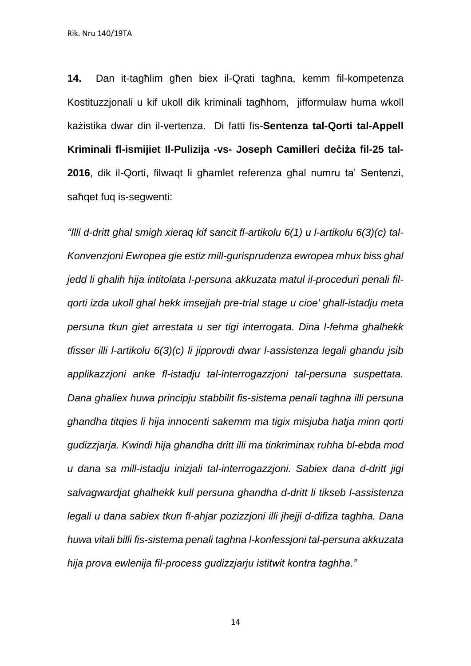**14.** Dan it-tagħlim għen biex il-Qrati tagħna, kemm fil-kompetenza Kostituzzjonali u kif ukoll dik kriminali tagħhom, jifformulaw huma wkoll każistika dwar din il-vertenza. Di fatti fis-**Sentenza tal-Qorti tal-Appell Kriminali fl-ismijiet Il-Pulizija -vs- Joseph Camilleri deċiża fil-25 tal-2016**, dik il-Qorti, filwaqt li għamlet referenza għal numru ta' Sentenzi, saħqet fuq is-segwenti:

*"Illi d-dritt ghal smigh xieraq kif sancit fl-artikolu 6(1) u l-artikolu 6(3)(c) tal-Konvenzjoni Ewropea gie estiz mill-gurisprudenza ewropea mhux biss ghal jedd li ghalih hija intitolata l-persuna akkuzata matul il-proceduri penali filqorti izda ukoll ghal hekk imsejjah pre-trial stage u cioe' ghall-istadju meta persuna tkun giet arrestata u ser tigi interrogata. Dina l-fehma ghalhekk tfisser illi l-artikolu 6(3)(c) li jipprovdi dwar l-assistenza legali ghandu jsib applikazzjoni anke fl-istadju tal-interrogazzjoni tal-persuna suspettata. Dana ghaliex huwa principju stabbilit fis-sistema penali taghna illi persuna ghandha titqies li hija innocenti sakemm ma tigix misjuba hatja minn qorti gudizzjarja. Kwindi hija ghandha dritt illi ma tinkriminax ruhha bl-ebda mod u dana sa mill-istadju inizjali tal-interrogazzjoni. Sabiex dana d-dritt jigi salvagwardjat ghalhekk kull persuna ghandha d-dritt li tikseb l-assistenza legali u dana sabiex tkun fl-ahjar pozizzjoni illi jhejji d-difiza taghha. Dana huwa vitali billi fis-sistema penali taghna l-konfessjoni tal-persuna akkuzata hija prova ewlenija fil-process gudizzjarju istitwit kontra taghha."*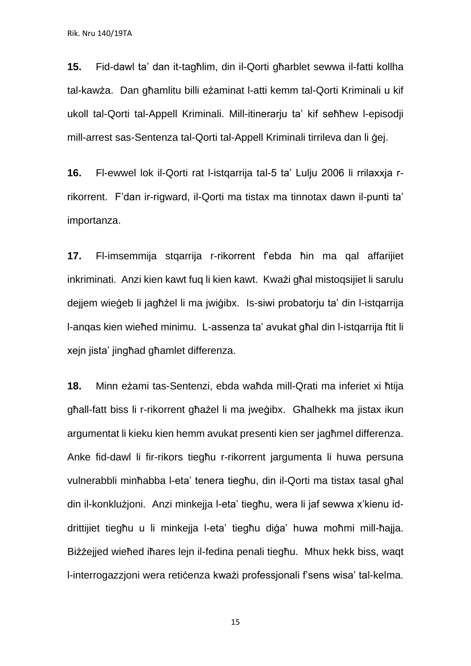**15.** Fid-dawl ta' dan it-tagħlim, din il-Qorti għarblet sewwa il-fatti kollha tal-kawża. Dan għamlitu billi eżaminat l-atti kemm tal-Qorti Kriminali u kif ukoll tal-Qorti tal-Appell Kriminali. Mill-itinerarju ta' kif seħħew l-episodji mill-arrest sas-Sentenza tal-Qorti tal-Appell Kriminali tirrileva dan li ġej.

**16.** Fl-ewwel lok il-Qorti rat l-istqarrija tal-5 ta' Lulju 2006 li rrilaxxja rrikorrent. F'dan ir-rigward, il-Qorti ma tistax ma tinnotax dawn il-punti ta' importanza.

**17.** Fl-imsemmija stqarrija r-rikorrent f'ebda ħin ma qal affarijiet inkriminati. Anzi kien kawt fuq li kien kawt. Kważi għal mistoqsijiet li sarulu dejjem wieġeb li jagħżel li ma jwiġibx. Is-siwi probatorju ta' din l-istqarrija l-anqas kien wieħed minimu. L-assenza ta' avukat għal din l-istqarrija ftit li xejn jista' jingħad għamlet differenza.

**18.** Minn eżami tas-Sentenzi, ebda waħda mill-Qrati ma inferiet xi ħtija għall-fatt biss li r-rikorrent għażel li ma jweġibx. Għalhekk ma jistax ikun argumentat li kieku kien hemm avukat presenti kien ser jagħmel differenza. Anke fid-dawl li fir-rikors tiegħu r-rikorrent jargumenta li huwa persuna vulnerabbli minħabba l-eta' tenera tiegħu, din il-Qorti ma tistax tasal għal din il-konklużjoni. Anzi minkejja l-eta' tiegħu, wera li jaf sewwa x'kienu iddrittijiet tiegħu u li minkejja l-eta' tiegħu diġa' huwa moħmi mill-ħajja. Biżżejjed wieħed iħares lejn il-fedina penali tiegħu. Mhux hekk biss, waqt l-interrogazzjoni wera retiċenza kważi professjonali f'sens wisa' tal-kelma.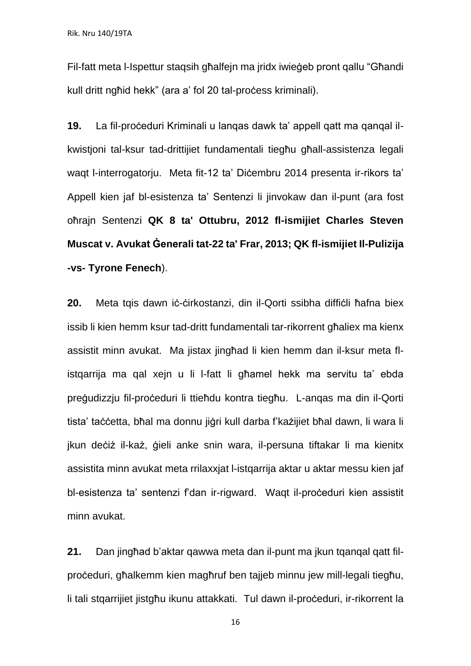Fil-fatt meta l-Ispettur staqsih għalfejn ma jridx iwieġeb pront qallu "Għandi kull dritt ngħid hekk" (ara a' fol 20 tal-proċess kriminali).

**19.** La fil-proċeduri Kriminali u lanqas dawk ta' appell qatt ma qanqal ilkwistjoni tal-ksur tad-drittijiet fundamentali tiegħu għall-assistenza legali waqt l-interrogatorju. Meta fit-12 ta' Diċembru 2014 presenta ir-rikors ta' Appell kien jaf bl-esistenza ta' Sentenzi li jinvokaw dan il-punt (ara fost oħrajn Sentenzi **QK 8 ta' Ottubru, 2012 fl-ismijiet Charles Steven Muscat v. Avukat Ġenerali tat-22 ta' Frar, 2013; QK fl-ismijiet Il-Pulizija -vs- Tyrone Fenech**).

**20.** Meta tqis dawn iċ-ċirkostanzi, din il-Qorti ssibha diffiċli ħafna biex issib li kien hemm ksur tad-dritt fundamentali tar-rikorrent għaliex ma kienx assistit minn avukat. Ma jistax jingħad li kien hemm dan il-ksur meta flistqarrija ma qal xejn u li l-fatt li għamel hekk ma servitu ta' ebda preġudizzju fil-proċeduri li ttieħdu kontra tiegħu. L-anqas ma din il-Qorti tista' taċċetta, bħal ma donnu jiġri kull darba f'każijiet bħal dawn, li wara li jkun deċiż il-każ, ģieli anke snin wara, il-persuna tiftakar li ma kienitx assistita minn avukat meta rrilaxxjat l-istqarrija aktar u aktar messu kien jaf bl-esistenza ta' sentenzi f'dan ir-rigward. Waqt il-proċeduri kien assistit minn avukat.

**21.** Dan jingħad b'aktar qawwa meta dan il-punt ma jkun tqanqal qatt filproċeduri, għalkemm kien magħruf ben tajjeb minnu jew mill-legali tiegħu, li tali stgarrijiet jistgħu ikunu attakkati. Tul dawn il-proċeduri, ir-rikorrent la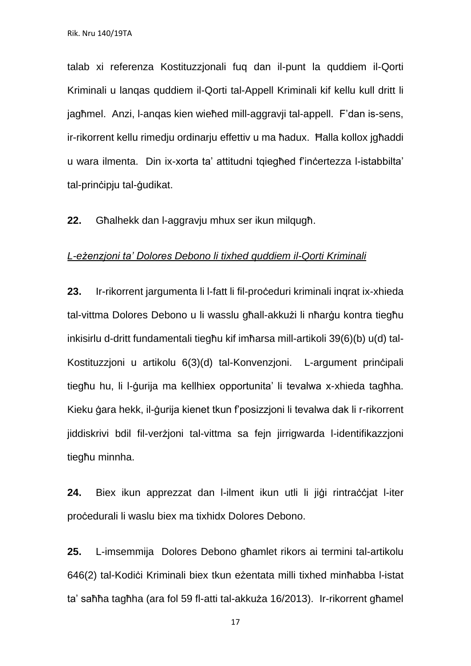talab xi referenza Kostituzzjonali fuq dan il-punt la quddiem il-Qorti Kriminali u lanqas quddiem il-Qorti tal-Appell Kriminali kif kellu kull dritt li jagħmel. Anzi, l-anqas kien wieħed mill-aggravji tal-appell. F'dan is-sens, ir-rikorrent kellu rimedju ordinarju effettiv u ma ħadux. Ħalla kollox jgħaddi u wara ilmenta. Din ix-xorta ta' attitudni tqiegħed f'inċertezza l-istabbilta' tal-prinċipju tal-ġudikat.

**22.** Għalhekk dan l-aggravju mhux ser ikun milqugħ.

#### *L-eżenzjoni ta' Dolores Debono li tixhed quddiem il-Qorti Kriminali*

23. Ir-rikorrent jargumenta li l-fatt li fil-proceduri kriminali ingrat ix-xhieda tal-vittma Dolores Debono u li wasslu għall-akkużi li nħarġu kontra tiegħu inkisirlu d-dritt fundamentali tiegħu kif imħarsa mill-artikoli 39(6)(b) u(d) tal-Kostituzzjoni u artikolu 6(3)(d) tal-Konvenzjoni. L-argument prinċipali tiegħu hu, li l-ġurija ma kellhiex opportunita' li tevalwa x-xhieda tagħha. Kieku ġara hekk, il-ġurija kienet tkun f'posizzjoni li tevalwa dak li r-rikorrent jiddiskrivi bdil fil-verżjoni tal-vittma sa fejn jirrigwarda l-identifikazzjoni tiegħu minnha.

24. Biex ikun apprezzat dan l-ilment ikun utli li jiġi rintraċċiat l-iter proċedurali li waslu biex ma tixhidx Dolores Debono.

**25.** L-imsemmija Dolores Debono għamlet rikors ai termini tal-artikolu 646(2) tal-Kodiċi Kriminali biex tkun eżentata milli tixhed minħabba l-istat ta' saħħa tagħha (ara fol 59 fl-atti tal-akkuża 16/2013). Ir-rikorrent għamel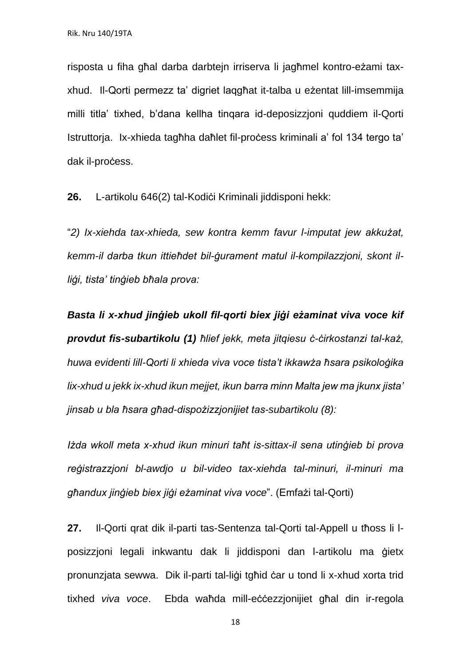risposta u fiha għal darba darbtejn irriserva li jagħmel kontro-eżami taxxhud. Il-Qorti permezz ta' digriet laqgħat it-talba u eżentat lill-imsemmija milli titla' tixhed, b'dana kellha tinqara id-deposizzjoni quddiem il-Qorti Istruttorja. Ix-xhieda tagħha daħlet fil-proċess kriminali a' fol 134 tergo ta' dak il-process.

**26.** L-artikolu 646(2) tal-Kodiċi Kriminali jiddisponi hekk:

"*2) Ix-xiehda tax-xhieda, sew kontra kemm favur l-imputat jew akkużat, kemm-il darba tkun ittieħdet bil-ġurament matul il-kompilazzjoni, skont illiġi, tista' tinġieb bħala prova:*

*Basta li x-xhud jinġieb ukoll fil-qorti biex jiġi eżaminat viva voce kif provdut fis-subartikolu (1) ħlief jekk, meta jitqiesu ċ-ċirkostanzi tal-każ, huwa evidenti lill-Qorti li xhieda viva voce tista't ikkawża ħsara psikoloġika lix-xhud u jekk ix-xhud ikun mejjet, ikun barra minn Malta jew ma jkunx jista' jinsab u bla ħsara għad-dispożizzjonijiet tas-subartikolu (8):*

*Iżda wkoll meta x-xhud ikun minuri taħt is-sittax-il sena utinġieb bi prova reġistrazzjoni bl-awdjo u bil-video tax-xiehda tal-minuri, il-minuri ma għandux jinġieb biex jiġi eżaminat viva voce*". (Emfażi tal-Qorti)

**27.** Il-Qorti qrat dik il-parti tas-Sentenza tal-Qorti tal-Appell u tħoss li lposizzjoni legali inkwantu dak li jiddisponi dan l-artikolu ma ġietx pronunzjata sewwa. Dik il-parti tal-liġi tgħid ċar u tond li x-xhud xorta trid tixhed *viva voce*. Ebda waħda mill-eċċezzjonijiet għal din ir-regola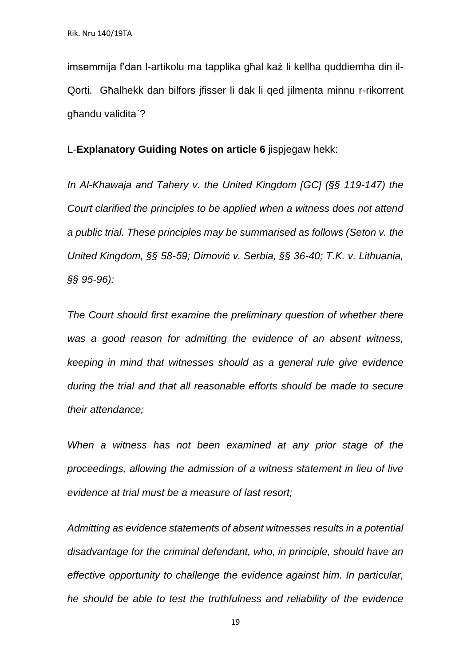imsemmija f'dan l-artikolu ma tapplika għal każ li kellha quddiemha din il-Qorti. Għalhekk dan bilfors jfisser li dak li qed jilmenta minnu r-rikorrent għandu validita`?

L-**Explanatory Guiding Notes on article 6** jispjegaw hekk:

*In Al-Khawaja and Tahery v. the United Kingdom [GC] (§§ 119-147) the Court clarified the principles to be applied when a witness does not attend a public trial. These principles may be summarised as follows (Seton v. the United Kingdom, §§ 58-59; Dimović v. Serbia, §§ 36-40; T.K. v. Lithuania, §§ 95-96):* 

*The Court should first examine the preliminary question of whether there was a good reason for admitting the evidence of an absent witness, keeping in mind that witnesses should as a general rule give evidence during the trial and that all reasonable efforts should be made to secure their attendance;* 

*When a witness has not been examined at any prior stage of the proceedings, allowing the admission of a witness statement in lieu of live evidence at trial must be a measure of last resort;* 

*Admitting as evidence statements of absent witnesses results in a potential disadvantage for the criminal defendant, who, in principle, should have an effective opportunity to challenge the evidence against him. In particular, he should be able to test the truthfulness and reliability of the evidence*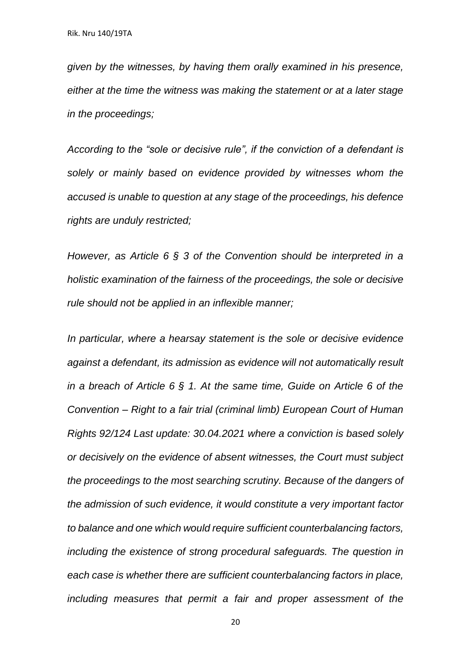*given by the witnesses, by having them orally examined in his presence, either at the time the witness was making the statement or at a later stage in the proceedings;*

*According to the "sole or decisive rule", if the conviction of a defendant is solely or mainly based on evidence provided by witnesses whom the accused is unable to question at any stage of the proceedings, his defence rights are unduly restricted;* 

*However, as Article 6 § 3 of the Convention should be interpreted in a holistic examination of the fairness of the proceedings, the sole or decisive rule should not be applied in an inflexible manner;*

*In particular, where a hearsay statement is the sole or decisive evidence against a defendant, its admission as evidence will not automatically result in a breach of Article 6 § 1. At the same time, Guide on Article 6 of the Convention – Right to a fair trial (criminal limb) European Court of Human Rights 92/124 Last update: 30.04.2021 where a conviction is based solely or decisively on the evidence of absent witnesses, the Court must subject the proceedings to the most searching scrutiny. Because of the dangers of the admission of such evidence, it would constitute a very important factor to balance and one which would require sufficient counterbalancing factors, including the existence of strong procedural safeguards. The question in each case is whether there are sufficient counterbalancing factors in place, including measures that permit a fair and proper assessment of the*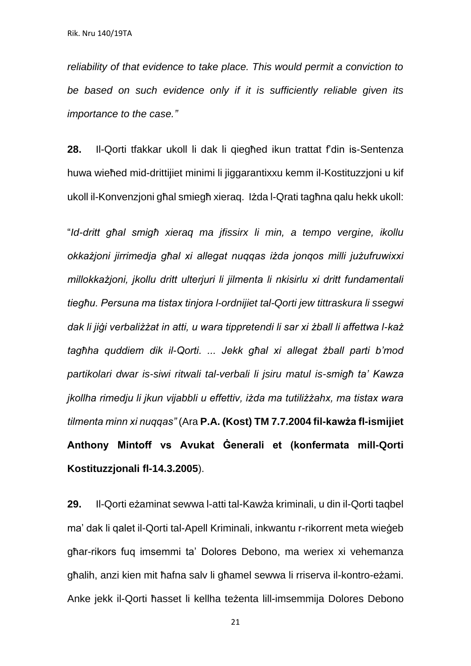*reliability of that evidence to take place. This would permit a conviction to be based on such evidence only if it is sufficiently reliable given its importance to the case."*

**28.** Il-Qorti tfakkar ukoll li dak li qiegħed ikun trattat f'din is-Sentenza huwa wieħed mid-drittijiet minimi li jiggarantixxu kemm il-Kostituzzjoni u kif ukoll il-Konvenzjoni għal smiegħ xieraq. Iżda l-Qrati tagħna qalu hekk ukoll:

"*Id-dritt għal smigħ xieraq ma jfissirx li min, a tempo vergine, ikollu okkażjoni jirrimedja għal xi allegat nuqqas iżda jonqos milli jużufruwixxi millokkażjoni, jkollu dritt ulterjuri li jilmenta li nkisirlu xi dritt fundamentali tiegħu. Persuna ma tistax tinjora l-ordnijiet tal-Qorti jew tittraskura li ssegwi dak li jiġi verbaliżżat in atti, u wara tippretendi li sar xi żball li affettwa l-każ tagħha quddiem dik il-Qorti. ... Jekk għal xi allegat żball parti b'mod partikolari dwar is-siwi ritwali tal-verbali li jsiru matul is-smigħ ta' Kawza jkollha rimedju li jkun vijabbli u effettiv, iżda ma tutiliżżahx, ma tistax wara tilmenta minn xi nuqqas"* (Ara **P.A. (Kost) TM 7.7.2004 fil-kawża fl-ismijiet Anthony Mintoff vs Avukat Ġenerali et (konfermata mill-Qorti Kostituzzjonali fl-14.3.2005**).

**29.** Il-Qorti eżaminat sewwa l-atti tal-Kawża kriminali, u din il-Qorti taqbel ma' dak li qalet il-Qorti tal-Apell Kriminali, inkwantu r-rikorrent meta wieġeb għar-rikors fuq imsemmi ta' Dolores Debono, ma weriex xi vehemanza għalih, anzi kien mit ħafna salv li għamel sewwa li rriserva il-kontro-eżami. Anke jekk il-Qorti ħasset li kellha teżenta lill-imsemmija Dolores Debono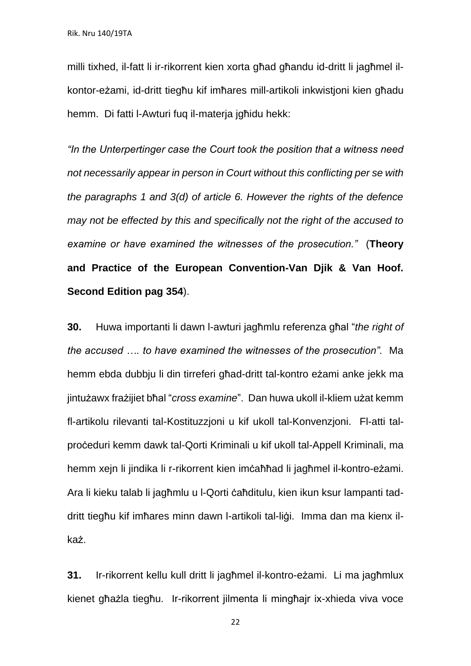milli tixhed, il-fatt li ir-rikorrent kien xorta għad għandu id-dritt li jagħmel ilkontor-eżami, id-dritt tiegħu kif imħares mill-artikoli inkwistjoni kien għadu hemm. Di fatti l-Awturi fuq il-materja jgħidu hekk:

*"In the Unterpertinger case the Court took the position that a witness need not necessarily appear in person in Court without this conflicting per se with the paragraphs 1 and 3(d) of article 6. However the rights of the defence may not be effected by this and specifically not the right of the accused to examine or have examined the witnesses of the prosecution."* (**Theory and Practice of the European Convention-Van Djik & Van Hoof. Second Edition pag 354**).

**30.** Huwa importanti li dawn l-awturi jagħmlu referenza għal "*the right of the accused …. to have examined the witnesses of the prosecution".* Ma hemm ebda dubbju li din tirreferi għad-dritt tal-kontro eżami anke jekk ma jintużawx frażijiet bħal "*cross examine*". Dan huwa ukoll il-kliem użat kemm fl-artikolu rilevanti tal-Kostituzzjoni u kif ukoll tal-Konvenzjoni. Fl-atti talproċeduri kemm dawk tal-Qorti Kriminali u kif ukoll tal-Appell Kriminali, ma hemm xejn li jindika li r-rikorrent kien imċaħħad li jagħmel il-kontro-eżami. Ara li kieku talab li jagħmlu u l-Qorti ċaħditulu, kien ikun ksur lampanti taddritt tiegħu kif imħares minn dawn l-artikoli tal-liġi. Imma dan ma kienx ilkaż.

**31.** Ir-rikorrent kellu kull dritt li jagħmel il-kontro-eżami. Li ma jagħmlux kienet għażla tiegħu. Ir-rikorrent jilmenta li mingħajr ix-xhieda viva voce